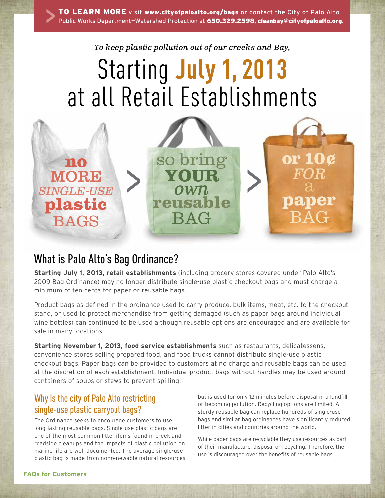*To keep plastic pollution out of our creeks and Bay,*

# Starting **July 1, 2013** at all Retail Establishments



## What is Palo Alto's Bag Ordinance?

**Starting July 1, 2013, retail establishments** (including grocery stores covered under Palo Alto's 2009 Bag Ordinance) may no longer distribute single-use plastic checkout bags and must charge a minimum of ten cents for paper or reusable bags.

Product bags as defined in the ordinance used to carry produce, bulk items, meat, etc. to the checkout stand, or used to protect merchandise from getting damaged (such as paper bags around individual wine bottles) can continued to be used although reusable options are encouraged and are available for sale in many locations.

**Starting November 1, 2013, food service establishments** such as restaurants, delicatessens, convenience stores selling prepared food, and food trucks cannot distribute single-use plastic checkout bags. Paper bags can be provided to customers at no charge and reusable bags can be used at the discretion of each establishment. Individual product bags without handles may be used around containers of soups or stews to prevent spilling.

#### Why is the city of Palo Alto restricting single-use plastic carryout bags?

The Ordinance seeks to encourage customers to use long-lasting reusable bags. Single-use plastic bags are one of the most common litter items found in creek and roadside cleanups and the impacts of plastic pollution on marine life are well documented. The average single-use plastic bag is made from nonrenewable natural resources but is used for only 12 minutes before disposal in a landfill or becoming pollution. Recycling options are limited. A sturdy reusable bag can replace hundreds of single-use bags and similar bag ordinances have significantly reduced litter in cities and countries around the world.

While paper bags are recyclable they use resources as part of their manufacture, disposal or recycling. Therefore, their use is discouraged over the benefits of reusable bags.